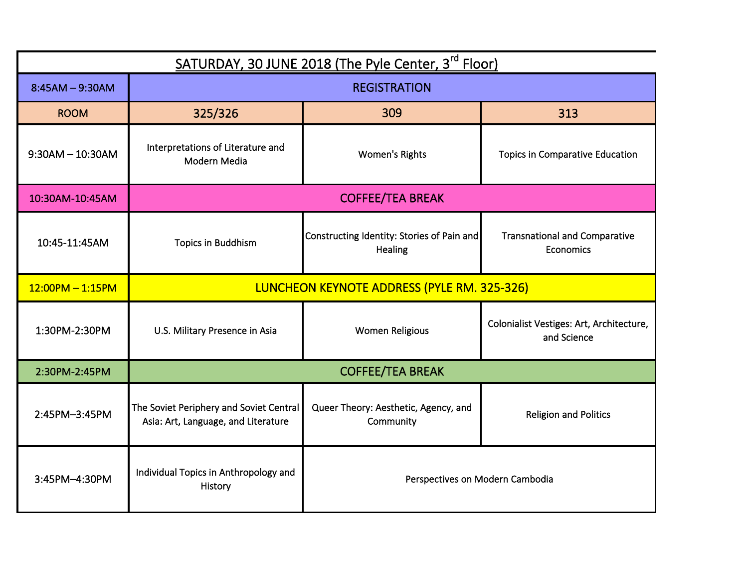| SATURDAY, 30 JUNE 2018 (The Pyle Center, 3 <sup>rd</sup> Floor) |                                                                                |                                                       |                                                          |  |
|-----------------------------------------------------------------|--------------------------------------------------------------------------------|-------------------------------------------------------|----------------------------------------------------------|--|
| $8:45AM - 9:30AM$                                               | <b>REGISTRATION</b>                                                            |                                                       |                                                          |  |
| <b>ROOM</b>                                                     | 325/326                                                                        | 309                                                   | 313                                                      |  |
| $9:30AM - 10:30AM$                                              | Interpretations of Literature and<br>Modern Media                              | <b>Women's Rights</b>                                 | <b>Topics in Comparative Education</b>                   |  |
| 10:30AM-10:45AM                                                 | <b>COFFEE/TEA BREAK</b>                                                        |                                                       |                                                          |  |
| 10:45-11:45AM                                                   | <b>Topics in Buddhism</b>                                                      | Constructing Identity: Stories of Pain and<br>Healing | <b>Transnational and Comparative</b><br><b>Economics</b> |  |
| $12:00PM - 1:15PM$                                              | <b>LUNCHEON KEYNOTE ADDRESS (PYLE RM. 325-326)</b>                             |                                                       |                                                          |  |
| 1:30PM-2:30PM                                                   | U.S. Military Presence in Asia                                                 | <b>Women Religious</b>                                | Colonialist Vestiges: Art, Architecture,<br>and Science  |  |
| 2:30PM-2:45PM                                                   | <b>COFFEE/TEA BREAK</b>                                                        |                                                       |                                                          |  |
| 2:45PM-3:45PM                                                   | The Soviet Periphery and Soviet Central<br>Asia: Art, Language, and Literature | Queer Theory: Aesthetic, Agency, and<br>Community     | <b>Religion and Politics</b>                             |  |
| 3:45PM-4:30PM                                                   | Individual Topics in Anthropology and<br>History                               | Perspectives on Modern Cambodia                       |                                                          |  |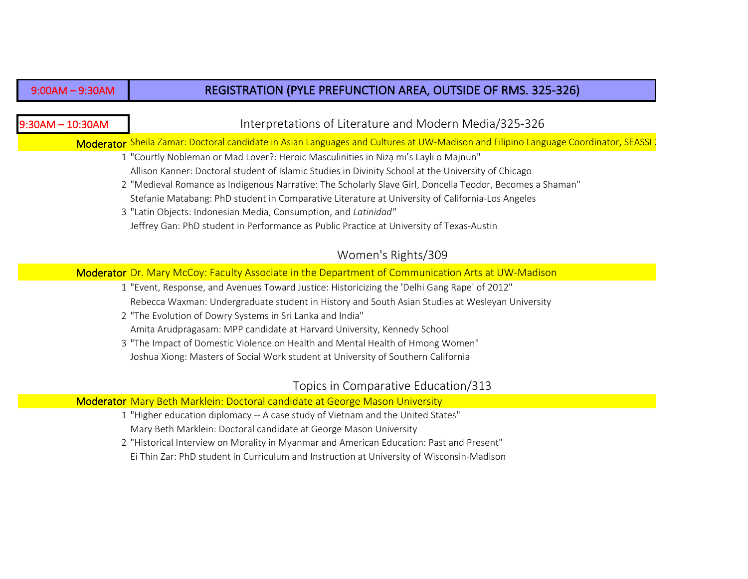#### 9:00AM – 9:30AM

## REGISTRATION (PYLE PREFUNCTION AREA, OUTSIDE OF RMS. 325-326)

## 9:30AM – 10:30AM

## Interpretations of Literature and Modern Media/325-326

Moderator Sheila Zamar: Doctoral candidate in Asian Languages and Cultures at UW-Madison and Filipino Language Coordinator, SEASSI

- 1 "Courtly Nobleman or Mad Lover?: Heroic Masculinities in Nizạ̄mī's Laylī o Majnūn" Allison Kanner: Doctoral student of Islamic Studies in Divinity School at the University of Chicago
- 2 "Medieval Romance as Indigenous Narrative: The Scholarly Slave Girl, Doncella Teodor, Becomes a Shaman" Stefanie Matabang: PhD student in Comparative Literature at University of California-Los Angeles
- 3 "Latin Objects: Indonesian Media, Consumption, and *Latinidad"*  Jeffrey Gan: PhD student in Performance as Public Practice at University of Texas-Austin

# Women's Rights/309

Moderator Dr. Mary McCoy: Faculty Associate in the Department of Communication Arts at UW-Madison

- 1 "Event, Response, and Avenues Toward Justice: Historicizing the 'Delhi Gang Rape' of 2012" Rebecca Waxman: Undergraduate student in History and South Asian Studies at Wesleyan University
- 2 "The Evolution of Dowry Systems in Sri Lanka and India" Amita Arudpragasam: MPP candidate at Harvard University, Kennedy School
- 3 "The Impact of Domestic Violence on Health and Mental Health of Hmong Women" Joshua Xiong: Masters of Social Work student at University of Southern California

## Topics in Comparative Education/313

#### Moderator Mary Beth Marklein: Doctoral candidate at George Mason University

- 1 "Higher education diplomacy -- A case study of Vietnam and the United States" Mary Beth Marklein: Doctoral candidate at George Mason University
- 2 "Historical Interview on Morality in Myanmar and American Education: Past and Present" Ei Thin Zar: PhD student in Curriculum and Instruction at University of Wisconsin-Madison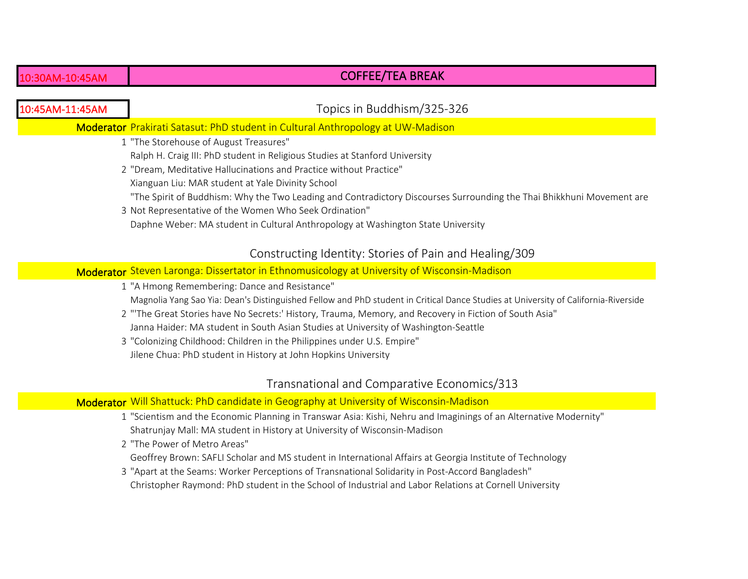# COFFEE/TEA BREAK

| 10:45AM-11:45AM | Topics in Buddhism/325-326                                                                                                                                                                                                                                                                                                                                                                                                                                                                                                                               |
|-----------------|----------------------------------------------------------------------------------------------------------------------------------------------------------------------------------------------------------------------------------------------------------------------------------------------------------------------------------------------------------------------------------------------------------------------------------------------------------------------------------------------------------------------------------------------------------|
|                 | Moderator Prakirati Satasut: PhD student in Cultural Anthropology at UW-Madison                                                                                                                                                                                                                                                                                                                                                                                                                                                                          |
|                 | 1 "The Storehouse of August Treasures"<br>Ralph H. Craig III: PhD student in Religious Studies at Stanford University<br>2 "Dream, Meditative Hallucinations and Practice without Practice"<br>Xianguan Liu: MAR student at Yale Divinity School<br>"The Spirit of Buddhism: Why the Two Leading and Contradictory Discourses Surrounding the Thai Bhikkhuni Movement are<br>3 Not Representative of the Women Who Seek Ordination"<br>Daphne Weber: MA student in Cultural Anthropology at Washington State University                                  |
|                 | Constructing Identity: Stories of Pain and Healing/309                                                                                                                                                                                                                                                                                                                                                                                                                                                                                                   |
|                 | Moderator Steven Laronga: Dissertator in Ethnomusicology at University of Wisconsin-Madison                                                                                                                                                                                                                                                                                                                                                                                                                                                              |
|                 | 1 "A Hmong Remembering: Dance and Resistance"<br>Magnolia Yang Sao Yia: Dean's Distinguished Fellow and PhD student in Critical Dance Studies at University of California-Riverside<br>2 "The Great Stories have No Secrets:' History, Trauma, Memory, and Recovery in Fiction of South Asia"<br>Janna Haider: MA student in South Asian Studies at University of Washington-Seattle<br>3 "Colonizing Childhood: Children in the Philippines under U.S. Empire"<br>Jilene Chua: PhD student in History at John Hopkins University                        |
|                 | Transnational and Comparative Economics/313                                                                                                                                                                                                                                                                                                                                                                                                                                                                                                              |
|                 | Moderator Will Shattuck: PhD candidate in Geography at University of Wisconsin-Madison                                                                                                                                                                                                                                                                                                                                                                                                                                                                   |
|                 | 1 "Scientism and the Economic Planning in Transwar Asia: Kishi, Nehru and Imaginings of an Alternative Modernity"<br>Shatrunjay Mall: MA student in History at University of Wisconsin-Madison<br>2 "The Power of Metro Areas"<br>Geoffrey Brown: SAFLI Scholar and MS student in International Affairs at Georgia Institute of Technology<br>3 "Apart at the Seams: Worker Perceptions of Transnational Solidarity in Post-Accord Bangladesh"<br>Christopher Raymond: PhD student in the School of Industrial and Labor Relations at Cornell University |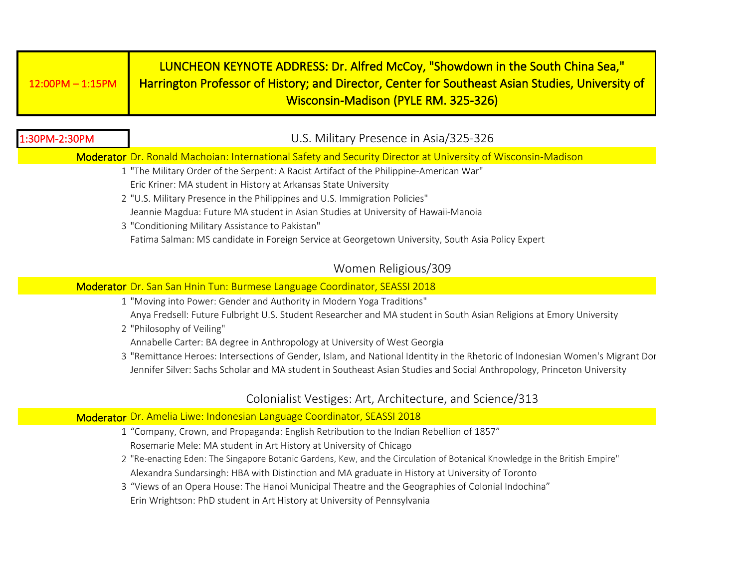| $12:00\textsf{PM} - 1:15\textsf{PM}$ | LUNCHEON KEYNOTE ADDRESS: Dr. Alfred McCoy, "Showdown in the South China Sea,"<br><b>Harrington Professor of History; and Director, Center for Southeast Asian Studies, University of</b> |
|--------------------------------------|-------------------------------------------------------------------------------------------------------------------------------------------------------------------------------------------|
|                                      | Wisconsin-Madison (PYLE RM. 325-326)                                                                                                                                                      |

| 1:30PM-2:30PM                                                               | U.S. Military Presence in Asia/325-326                                                                                        |  |
|-----------------------------------------------------------------------------|-------------------------------------------------------------------------------------------------------------------------------|--|
|                                                                             | Moderator Dr. Ronald Machoian: International Safety and Security Director at University of Wisconsin-Madison                  |  |
|                                                                             | 1 "The Military Order of the Serpent: A Racist Artifact of the Philippine-American War"                                       |  |
|                                                                             | Eric Kriner: MA student in History at Arkansas State University                                                               |  |
| 2 "U.S. Military Presence in the Philippines and U.S. Immigration Policies" |                                                                                                                               |  |
|                                                                             | Jeannie Magdua: Future MA student in Asian Studies at University of Hawaii-Manoia                                             |  |
|                                                                             | 3 "Conditioning Military Assistance to Pakistan"                                                                              |  |
|                                                                             | Fatima Salman: MS candidate in Foreign Service at Georgetown University, South Asia Policy Expert                             |  |
|                                                                             | Women Religious/309                                                                                                           |  |
|                                                                             | Moderator Dr. San San Hnin Tun: Burmese Language Coordinator, SEASSI 2018                                                     |  |
|                                                                             | 1 "Moving into Power: Gender and Authority in Modern Yoga Traditions"                                                         |  |
|                                                                             | Anya Fredsell: Future Fulbright U.S. Student Researcher and MA student in South Asian Religions at Emory University           |  |
|                                                                             | 2 "Philosophy of Veiling"                                                                                                     |  |
|                                                                             | Annabelle Carter: BA degree in Anthropology at University of West Georgia                                                     |  |
|                                                                             | 3 "Remittance Heroes: Intersections of Gender, Islam, and National Identity in the Rhetoric of Indonesian Women's Migrant Dor |  |
|                                                                             | Jennifer Silver: Sachs Scholar and MA student in Southeast Asian Studies and Social Anthropology, Princeton University        |  |
|                                                                             | Colonialist Vestiges: Art, Architecture, and Science/313                                                                      |  |
|                                                                             | Moderator Dr. Amelia Liwe: Indonesian Language Coordinator, SEASSI 2018                                                       |  |
|                                                                             | 1 "Company, Crown, and Propaganda: English Retribution to the Indian Rebellion of 1857"                                       |  |
|                                                                             | Rosemarie Mele: MA student in Art History at University of Chicago                                                            |  |
|                                                                             | 2 "Re-enacting Eden: The Singapore Botanic Gardens, Kew, and the Circulation of Botanical Knowledge in the British Empire"    |  |
|                                                                             | Alexandra Sundarsingh: HBA with Distinction and MA graduate in History at University of Toronto                               |  |
|                                                                             |                                                                                                                               |  |

3 "Views of an Opera House: The Hanoi Municipal Theatre and the Geographies of Colonial Indochina" Erin Wrightson: PhD student in Art History at University of Pennsylvania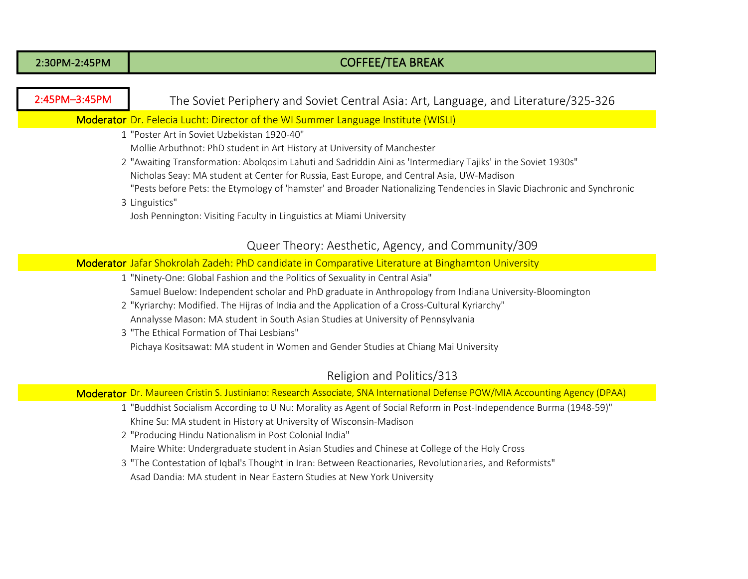| 2:30PM-2:45PM                                                                                                                                                                                                                                                                                                                                                                                                                                                                                                                                              | <b>COFFEE/TEA BREAK</b>                                                                                                                                                                                                                                                                                                                                                                                                                                                                                                                |  |  |
|------------------------------------------------------------------------------------------------------------------------------------------------------------------------------------------------------------------------------------------------------------------------------------------------------------------------------------------------------------------------------------------------------------------------------------------------------------------------------------------------------------------------------------------------------------|----------------------------------------------------------------------------------------------------------------------------------------------------------------------------------------------------------------------------------------------------------------------------------------------------------------------------------------------------------------------------------------------------------------------------------------------------------------------------------------------------------------------------------------|--|--|
|                                                                                                                                                                                                                                                                                                                                                                                                                                                                                                                                                            |                                                                                                                                                                                                                                                                                                                                                                                                                                                                                                                                        |  |  |
| 2:45PM-3:45PM                                                                                                                                                                                                                                                                                                                                                                                                                                                                                                                                              | The Soviet Periphery and Soviet Central Asia: Art, Language, and Literature/325-326                                                                                                                                                                                                                                                                                                                                                                                                                                                    |  |  |
| Moderator Dr. Felecia Lucht: Director of the WI Summer Language Institute (WISLI)                                                                                                                                                                                                                                                                                                                                                                                                                                                                          |                                                                                                                                                                                                                                                                                                                                                                                                                                                                                                                                        |  |  |
| 1 "Poster Art in Soviet Uzbekistan 1920-40"<br>Mollie Arbuthnot: PhD student in Art History at University of Manchester<br>2 "Awaiting Transformation: Abolqosim Lahuti and Sadriddin Aini as 'Intermediary Tajiks' in the Soviet 1930s"<br>Nicholas Seay: MA student at Center for Russia, East Europe, and Central Asia, UW-Madison<br>"Pests before Pets: the Etymology of 'hamster' and Broader Nationalizing Tendencies in Slavic Diachronic and Synchronic<br>3 Linguistics"<br>Josh Pennington: Visiting Faculty in Linguistics at Miami University |                                                                                                                                                                                                                                                                                                                                                                                                                                                                                                                                        |  |  |
|                                                                                                                                                                                                                                                                                                                                                                                                                                                                                                                                                            | Queer Theory: Aesthetic, Agency, and Community/309                                                                                                                                                                                                                                                                                                                                                                                                                                                                                     |  |  |
|                                                                                                                                                                                                                                                                                                                                                                                                                                                                                                                                                            | Moderator Jafar Shokrolah Zadeh: PhD candidate in Comparative Literature at Binghamton University                                                                                                                                                                                                                                                                                                                                                                                                                                      |  |  |
|                                                                                                                                                                                                                                                                                                                                                                                                                                                                                                                                                            | 1 "Ninety-One: Global Fashion and the Politics of Sexuality in Central Asia"<br>Samuel Buelow: Independent scholar and PhD graduate in Anthropology from Indiana University-Bloomington<br>2 "Kyriarchy: Modified. The Hijras of India and the Application of a Cross-Cultural Kyriarchy"<br>Annalysse Mason: MA student in South Asian Studies at University of Pennsylvania<br>3 "The Ethical Formation of Thai Lesbians"<br>Pichaya Kositsawat: MA student in Women and Gender Studies at Chiang Mai University                     |  |  |
|                                                                                                                                                                                                                                                                                                                                                                                                                                                                                                                                                            | Religion and Politics/313                                                                                                                                                                                                                                                                                                                                                                                                                                                                                                              |  |  |
|                                                                                                                                                                                                                                                                                                                                                                                                                                                                                                                                                            | Moderator Dr. Maureen Cristin S. Justiniano: Research Associate, SNA International Defense POW/MIA Accounting Agency (DPAA)                                                                                                                                                                                                                                                                                                                                                                                                            |  |  |
|                                                                                                                                                                                                                                                                                                                                                                                                                                                                                                                                                            | 1 "Buddhist Socialism According to U Nu: Morality as Agent of Social Reform in Post-Independence Burma (1948-59)"<br>Khine Su: MA student in History at University of Wisconsin-Madison<br>2 "Producing Hindu Nationalism in Post Colonial India"<br>Maire White: Undergraduate student in Asian Studies and Chinese at College of the Holy Cross<br>3 "The Contestation of Iqbal's Thought in Iran: Between Reactionaries, Revolutionaries, and Reformists"<br>Asad Dandia: MA student in Near Eastern Studies at New York University |  |  |